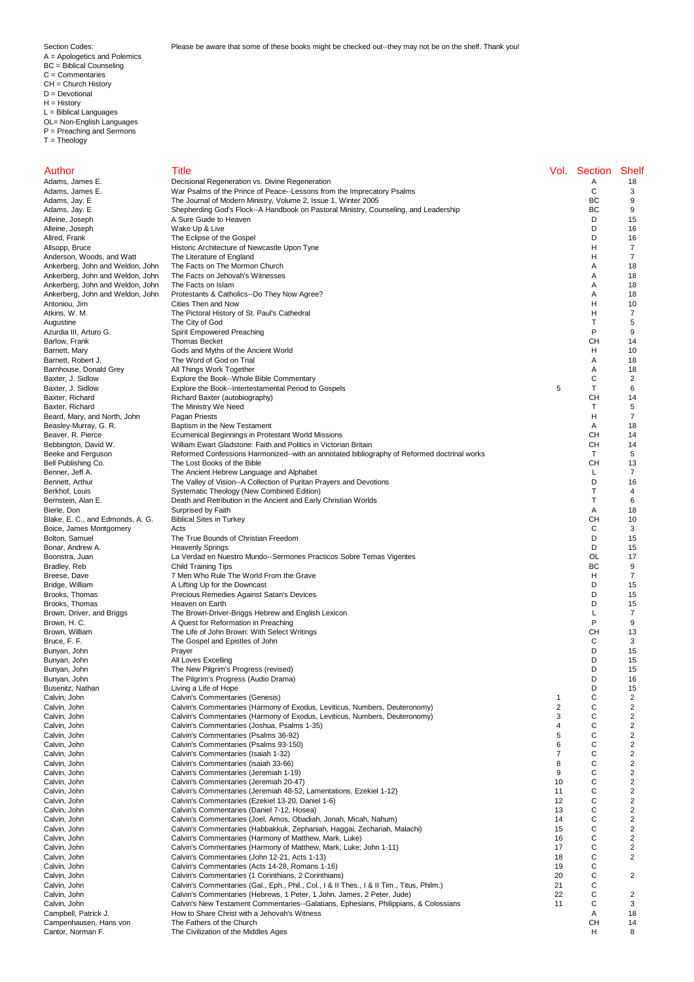A = Apologetics and Polemics BC = Biblical Counseling C = Commentaries CH = Church History D = Devotional H = History L = Biblical Languages OL= Non-English Languages P = Preaching and Sermons  $T = Theology$ 

The Fathers of the Church

| Author                                                               | Title                                                                                                                                                           |                | Vol. Section | <b>Shelf</b>   |
|----------------------------------------------------------------------|-----------------------------------------------------------------------------------------------------------------------------------------------------------------|----------------|--------------|----------------|
| Adams, James E.                                                      | Decisional Regeneration vs. Divine Regeneration                                                                                                                 |                | Α            | 18             |
| Adams, James E.                                                      | War Psalms of the Prince of Peace--Lessons from the Imprecatory Psalms                                                                                          |                | С            | 3              |
| Adams, Jay. E                                                        | The Journal of Modern Ministry, Volume 2, Issue 1, Winter 2005                                                                                                  |                | ВC           | 9              |
| Adams, Jay. E<br>Alleine, Joseph                                     | Shepherding God's Flock--A Handbook on Pastoral Ministry, Counseling, and Leadership<br>A Sure Guide to Heaven                                                  |                | ВC<br>D      | 9<br>15        |
| Alleine, Joseph                                                      | Wake Up & Live                                                                                                                                                  |                | D            | 16             |
| Allred, Frank                                                        | The Eclipse of the Gospel                                                                                                                                       |                | D            | 16             |
| Allsopp, Bruce                                                       | Historic Architecture of Newcastle Upon Tyne                                                                                                                    |                | Н            | 7              |
| Anderson, Woods, and Watt                                            | The Literature of England                                                                                                                                       |                | Н            | 7              |
| Ankerberg, John and Weldon, John                                     | The Facts on The Mormon Church                                                                                                                                  |                | Α            | 18             |
| Ankerberg, John and Weldon, John                                     | The Facts on Jehovah's Witnesses                                                                                                                                |                | Α            | 18             |
| Ankerberg, John and Weldon, John<br>Ankerberg, John and Weldon, John | The Facts on Islam<br>Protestants & Catholics--Do They Now Agree?                                                                                               |                | Α<br>Α       | 18<br>18       |
| Antoniou, Jim                                                        | Cities Then and Now                                                                                                                                             |                | Н            | 10             |
| Atkins, W. M.                                                        | The Pictoral History of St. Paul's Cathedral                                                                                                                    |                | н            | 7              |
| Augustine                                                            | The City of God                                                                                                                                                 |                | Т            | 5              |
| Azurdia III, Arturo G.                                               | Spirit Empowered Preaching                                                                                                                                      |                | P            | 9              |
| Barlow, Frank                                                        | <b>Thomas Becket</b>                                                                                                                                            |                | CН           | 14             |
| Barnett, Mary                                                        | Gods and Myths of the Ancient World                                                                                                                             |                | н            | 10             |
| Barnett, Robert J.<br>Barnhouse, Donald Grey                         | The Word of God on Trial<br>All Things Work Together                                                                                                            |                | Α<br>Α       | 18<br>18       |
| Baxter, J. Sidlow                                                    | Explore the Book--Whole Bible Commentary                                                                                                                        |                | C            | $\overline{2}$ |
| Baxter, J. Sidlow                                                    | Explore the Book--Intertestamental Period to Gospels                                                                                                            | 5              | T            | 6              |
| Baxter, Richard                                                      | Richard Baxter (autobiography)                                                                                                                                  |                | CН           | 14             |
| Baxter, Richard                                                      | The Ministry We Need                                                                                                                                            |                | Т            | 5              |
| Beard, Mary, and North, John                                         | Pagan Priests                                                                                                                                                   |                | H            | $\overline{7}$ |
| Beasley-Murray, G. R.                                                | Baptism in the New Testament                                                                                                                                    |                | Α            | 18             |
| Beaver, R. Pierce                                                    | Ecumenical Beginnings in Protestant World Missions                                                                                                              |                | CН<br>CН     | 14             |
| Bebbington, David W.<br>Beeke and Ferguson                           | William Ewart Gladstone: Faith and Politics in Victorian Britain<br>Reformed Confessions Harmonized--with an annotated bibliography of Reformed doctrinal works |                | Τ            | 14<br>5        |
| Bell Publishing Co.                                                  | The Lost Books of the Bible                                                                                                                                     |                | CН           | 13             |
| Benner, Jeff A.                                                      | The Ancient Hebrew Language and Alphabet                                                                                                                        |                | L            | $\overline{7}$ |
| Bennett, Arthur                                                      | The Valley of Vision--A Collection of Puritan Prayers and Devotions                                                                                             |                | D            | 16             |
| Berkhof, Louis                                                       | Systematic Theology (New Combined Edition)                                                                                                                      |                | T            | 4              |
| Bernstein, Alan E.                                                   | Death and Retribution in the Ancient and Early Christian Worlds                                                                                                 |                | т            | 6              |
| Bierle, Don                                                          | Surprised by Faith                                                                                                                                              |                | Α            | 18             |
| Blake, E. C., and Edmonds, A. G.<br>Boice, James Montgomery          | <b>Biblical Sites in Turkey</b><br>Acts                                                                                                                         |                | CН<br>С      | 10<br>3        |
| Bolton, Samuel                                                       | The True Bounds of Christian Freedom                                                                                                                            |                | D            | 15             |
| Bonar, Andrew A.                                                     | <b>Heavenly Springs</b>                                                                                                                                         |                | D            | 15             |
| Boonstra, Juan                                                       | La Verdad en Nuestro Mundo--Sermones Practicos Sobre Temas Vigentes                                                                                             |                | OL           | 17             |
| Bradley, Reb                                                         | Child Training Tips                                                                                                                                             |                | ВC           | 9              |
| Breese, Dave                                                         | 7 Men Who Rule The World From the Grave                                                                                                                         |                | H            | 7              |
| Bridge, William                                                      | A Lifting Up for the Downcast                                                                                                                                   |                | D            | 15             |
| Brooks, Thomas<br>Brooks, Thomas                                     | Precious Remedies Against Satan's Devices<br>Heaven on Earth                                                                                                    |                | D<br>D       | 15<br>15       |
| Brown, Driver, and Briggs                                            | The Brown-Driver-Briggs Hebrew and English Lexicon                                                                                                              |                | L            | $\overline{7}$ |
| Brown, H. C.                                                         | A Quest for Reformation in Preaching                                                                                                                            |                | P            | 9              |
| Brown, William                                                       | The Life of John Brown: With Select Writings                                                                                                                    |                | CН           | 13             |
| Bruce, F. F.                                                         | The Gospel and Epistles of John                                                                                                                                 |                | С            | 3              |
| Bunyan, John                                                         | Prayer                                                                                                                                                          |                | D            | 15             |
| Bunyan, John                                                         | All Loves Excelling                                                                                                                                             |                | D            | 15             |
| Bunyan, John<br>Bunyan, John                                         | The New Pilgrim's Progress (revised)<br>The Pilgrim's Progress (Audio Drama)                                                                                    |                | D<br>D       | 15<br>16       |
| Busenitz, Nathan                                                     | Living a Life of Hope                                                                                                                                           |                | D            | 15             |
| Calvin, John                                                         | Calvin's Commentaries (Genesis)                                                                                                                                 | $\mathbf{1}$   | С            | 2              |
| Calvin, John                                                         | Calvin's Commentaries (Harmony of Exodus, Leviticus, Numbers, Deuteronomy)                                                                                      | $\overline{2}$ | C            | 2              |
| Calvin, John                                                         | Calvin's Commentaries (Harmony of Exodus, Leviticus, Numbers, Deuteronomy)                                                                                      | 3              | С            | 2              |
| Calvin, John                                                         | Calvin's Commentaries (Joshua, Psalms 1-35)                                                                                                                     | $\overline{4}$ | С            | 2              |
| Calvin, John                                                         | Calvin's Commentaries (Psalms 36-92)                                                                                                                            | 5              | C            | 2              |
| Calvin, John<br>Calvin, John                                         | Calvin's Commentaries (Psalms 93-150)<br>Calvin's Commentaries (Isaiah 1-32)                                                                                    | 6<br>7         | С<br>С       | 2<br>2         |
| Calvin, John                                                         | Calvin's Commentaries (isaiah 33-66)                                                                                                                            | 8              | C            | 2              |
| Calvin, John                                                         | Calvin's Commentaries (Jeremiah 1-19)                                                                                                                           | 9              | С            | 2              |
| Calvin, John                                                         | Calvin's Commentaries (Jeremiah 20-47)                                                                                                                          | 10             | С            | 2              |
| Calvin, John                                                         | Calvin's Commentaries (Jeremiah 48-52, Lamentations, Ezekiel 1-12)                                                                                              | 11             | C            | 2              |
| Calvin, John                                                         | Calvin's Commentaries (Ezekiel 13-20, Daniel 1-6)                                                                                                               | 12             | С            | 2              |
| Calvin, John                                                         | Calvin's Commentaries (Daniel 7-12, Hosea)                                                                                                                      | 13             | С            | 2              |
| Calvin, John                                                         | Calvin's Commentaries (Joel, Amos, Obadiah, Jonah, Micah, Nahum)                                                                                                | 14             | C<br>C       | 2              |
| Calvin, John<br>Calvin, John                                         | Calvin's Commentaries (Habbakkuk, Zephaniah, Haggai, Zechariah, Malachi)<br>Calvin's Commentaries (Harmony of Matthew, Mark, Luke)                              | 15<br>16       | С            | 2<br>2         |
| Calvin, John                                                         | Calvin's Commentaries (Harmony of Matthew, Mark, Luke; John 1-11)                                                                                               | 17             | C            | 2              |
| Calvin, John                                                         | Calvin's Commentaries (John 12-21, Acts 1-13)                                                                                                                   | 18             | С            | 2              |
| Calvin, John                                                         | Calvin's Commentaries (Acts 14-28, Romans 1-16)                                                                                                                 | 19             | С            |                |
| Calvin, John                                                         | Calvin's Commentaries (1 Corinthians, 2 Corinthians)                                                                                                            | 20             | С            | 2              |
| Calvin, John                                                         | Calvin's Commentaries (Gal., Eph., Phil., Col., I & II Thes., I & II Tim., Titus, Philm.)                                                                       | 21             | С            |                |
| Calvin, John                                                         | Calvin's Commentaries (Hebrews, 1 Peter, 1 John, James, 2 Peter, Jude)                                                                                          | 22             | С            | 2              |
| Calvin, John                                                         | Calvin's New Testament Commentaries--Galatians, Ephesians, Philippians, & Colossians                                                                            | 11             | С<br>Α       | 3<br>18        |
| Campbell, Patrick J.                                                 | How to Share Christ with a Jehovah's Witness                                                                                                                    |                |              |                |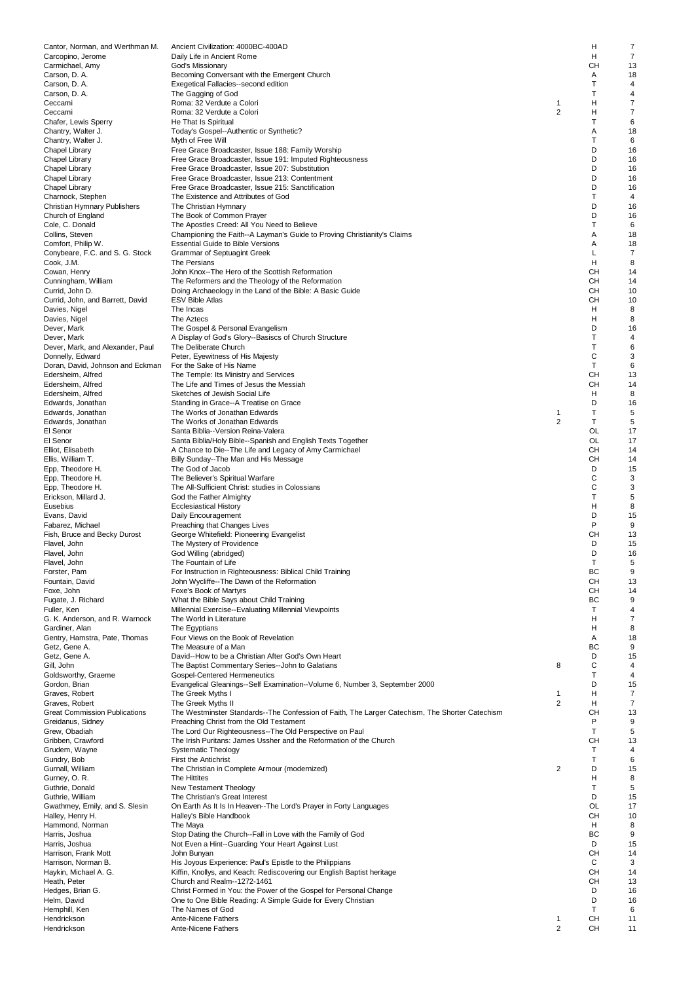| Cantor, Norman, and Werthman M.            | Ancient Civilization: 4000BC-400AD                                                               |                     | Н         | $\overline{7}$ |
|--------------------------------------------|--------------------------------------------------------------------------------------------------|---------------------|-----------|----------------|
| Carcopino, Jerome                          | Daily Life in Ancient Rome                                                                       |                     | н         | $\overline{7}$ |
| Carmichael, Amy                            | God's Missionary                                                                                 |                     | CН        | 13             |
| Carson, D. A.                              | Becoming Conversant with the Emergent Church                                                     |                     | Α         | 18             |
| Carson, D. A.                              | Exegetical Fallacies--second edition                                                             |                     | T         | 4              |
| Carson, D. A.                              | The Gagging of God                                                                               |                     | Т         | 4              |
| Ceccami                                    | Roma: 32 Verdute a Colori                                                                        | 1<br>$\overline{2}$ | н         | $\overline{7}$ |
| Ceccami                                    | Roma: 32 Verdute a Colori                                                                        |                     | н         | 7              |
| Chafer, Lewis Sperry<br>Chantry, Walter J. | He That Is Spiritual                                                                             |                     | Τ<br>Α    | 6<br>18        |
| Chantry, Walter J.                         | Today's Gospel--Authentic or Synthetic?                                                          |                     | T         | 6              |
| <b>Chapel Library</b>                      | Myth of Free Will<br>Free Grace Broadcaster, Issue 188: Family Worship                           |                     | D         | 16             |
| Chapel Library                             | Free Grace Broadcaster, Issue 191: Imputed Righteousness                                         |                     | D         | 16             |
| Chapel Library                             | Free Grace Broadcaster, Issue 207: Substitution                                                  |                     | D         | 16             |
| Chapel Library                             | Free Grace Broadcaster, Issue 213: Contentment                                                   |                     | D         | 16             |
| <b>Chapel Library</b>                      | Free Grace Broadcaster, Issue 215: Sanctification                                                |                     | D         | 16             |
| Charnock, Stephen                          | The Existence and Attributes of God                                                              |                     | т         | 4              |
| Christian Hymnary Publishers               | The Christian Hymnary                                                                            |                     | D         | 16             |
| Church of England                          | The Book of Common Prayer                                                                        |                     | D         | 16             |
| Cole, C. Donald                            | The Apostles Creed: All You Need to Believe                                                      |                     | T         | 6              |
| Collins, Steven                            | Championing the Faith--A Layman's Guide to Proving Christianity's Claims                         |                     | Α         | 18             |
| Comfort, Philip W.                         | <b>Essential Guide to Bible Versions</b>                                                         |                     | Α         | 18             |
| Conybeare, F.C. and S. G. Stock            | <b>Grammar of Septuagint Greek</b>                                                               |                     | L         | $\overline{7}$ |
| Cook, J.M.                                 | The Persians                                                                                     |                     | н         | 8              |
| Cowan, Henry                               | John Knox--The Hero of the Scottish Reformation                                                  |                     | CН        | 14             |
| Cunningham, William                        | The Reformers and the Theology of the Reformation                                                |                     | CН        | 14             |
| Currid, John D.                            | Doing Archaeology in the Land of the Bible: A Basic Guide                                        |                     | CH        | 10             |
| Currid, John, and Barrett, David           | <b>ESV Bible Atlas</b>                                                                           |                     | CН        | 10             |
| Davies, Nigel                              | The Incas                                                                                        |                     | н         | 8              |
| Davies, Nigel                              | The Aztecs                                                                                       |                     | н         | 8              |
| Dever, Mark                                | The Gospel & Personal Evangelism                                                                 |                     | D         | 16             |
| Dever, Mark                                | A Display of God's Glory--Basiscs of Church Structure                                            |                     | Т         | 4              |
| Dever, Mark, and Alexander, Paul           | The Deliberate Church                                                                            |                     | T         | 6              |
| Donnelly, Edward                           | Peter, Eyewitness of His Majesty                                                                 |                     | C         | 3              |
| Doran, David, Johnson and Eckman           | For the Sake of His Name                                                                         |                     | Т         | 6              |
| Edersheim, Alfred                          | The Temple: Its Ministry and Services                                                            |                     | CН        | 13             |
| Edersheim, Alfred                          | The Life and Times of Jesus the Messiah                                                          |                     | CН        | 14             |
| Edersheim, Alfred                          | Sketches of Jewish Social Life                                                                   |                     | н         | 8              |
| Edwards, Jonathan                          | Standing in Grace--A Treatise on Grace                                                           |                     | D         | 16             |
| Edwards, Jonathan                          | The Works of Jonathan Edwards                                                                    | $\mathbf{1}$        | T         | 5              |
| Edwards, Jonathan                          | The Works of Jonathan Edwards                                                                    | 2                   | Т<br>OL   | 5              |
| El Senor<br>El Senor                       | Santa Biblia--Version Reina-Valera                                                               |                     | OL        | 17<br>17       |
| Elliot, Elisabeth                          | Santa Biblia/Holy Bible--Spanish and English Texts Together                                      |                     | CН        | 14             |
| Ellis, William T.                          | A Chance to Die--The Life and Legacy of Amy Carmichael<br>Billy Sunday--The Man and His Message  |                     | CН        | 14             |
| Epp, Theodore H.                           | The God of Jacob                                                                                 |                     | D         | 15             |
| Epp, Theodore H.                           | The Believer's Spiritual Warfare                                                                 |                     | С         | 3              |
| Epp, Theodore H.                           | The All-Sufficient Christ: studies in Colossians                                                 |                     | C         | 3              |
| Erickson, Millard J.                       | God the Father Almighty                                                                          |                     | Т         | 5              |
| Eusebius                                   | <b>Ecclesiastical History</b>                                                                    |                     | н         | 8              |
| Evans, David                               | Daily Encouragement                                                                              |                     | D         | 15             |
| Fabarez, Michael                           | Preaching that Changes Lives                                                                     |                     | P         | 9              |
| Fish, Bruce and Becky Durost               | George Whitefield: Pioneering Evangelist                                                         |                     | CН        | 13             |
| Flavel, John                               | The Mystery of Providence                                                                        |                     | D         | 15             |
| Flavel, John                               | God Willing (abridged)                                                                           |                     | D         | 16             |
| Flavel, John                               | The Fountain of Life                                                                             |                     | Τ         | 5              |
| Forster, Pam                               | For Instruction in Righteousness: Biblical Child Training                                        |                     | ВC        | 9              |
| Fountain, David                            | John Wycliffe--The Dawn of the Reformation                                                       |                     | CH        | 13             |
| Foxe, John                                 | Foxe's Book of Martyrs                                                                           |                     | CН        | 14             |
| Fugate, J. Richard                         | What the Bible Says about Child Training                                                         |                     | ВC        | 9              |
| Fuller, Ken                                | Millennial Exercise--Evaluating Millennial Viewpoints                                            |                     | T         | 4              |
| G. K. Anderson, and R. Warnock             | The World in Literature                                                                          |                     | н         | 7              |
| Gardiner, Alan                             | The Egyptians                                                                                    |                     | н         | 8              |
| Gentry, Hamstra, Pate, Thomas              | Four Views on the Book of Revelation                                                             |                     | Α         | 18             |
| Getz, Gene A.                              | The Measure of a Man                                                                             |                     | ВC        | 9              |
| Getz, Gene A.                              | David--How to be a Christian After God's Own Heart                                               |                     | D         | 15             |
| Gill, John                                 | The Baptist Commentary Series--John to Galatians                                                 | 8                   | C         | 4              |
| Goldsworthy, Graeme                        | Gospel-Centered Hermeneutics                                                                     |                     | т<br>D    | 4<br>15        |
| Gordon, Brian<br>Graves, Robert            | Evangelical Gleanings--Self Examination--Volume 6, Number 3, September 2000<br>The Greek Myths I | 1                   | н         | 7              |
| Graves, Robert                             | The Greek Myths II                                                                               | $\overline{2}$      | н         | $\overline{7}$ |
| <b>Great Commission Publications</b>       | The Westminster Standards--The Confession of Faith, The Larger Catechism, The Shorter Catechism  |                     | CН        | 13             |
| Greidanus, Sidney                          | Preaching Christ from the Old Testament                                                          |                     | P         | 9              |
| Grew, Obadiah                              | The Lord Our Righteousness--The Old Perspective on Paul                                          |                     | T         | 5              |
| Gribben, Crawford                          | The Irish Puritans: James Ussher and the Reformation of the Church                               |                     | CН        | 13             |
| Grudem, Wayne                              | <b>Systematic Theology</b>                                                                       |                     | Т         | 4              |
| Gundry, Bob                                | <b>First the Antichrist</b>                                                                      |                     | Т         | 6              |
| Gurnall, William                           | The Christian in Complete Armour (modernized)                                                    | 2                   | D         | 15             |
| Gurney, O.R.                               | The Hittites                                                                                     |                     | н         | 8              |
| Guthrie, Donald                            | New Testament Theology                                                                           |                     | T         | 5              |
| Guthrie, William                           | The Christian's Great Interest                                                                   |                     | D         | 15             |
| Gwathmey, Emily, and S. Slesin             | On Earth As It Is In Heaven--The Lord's Prayer in Forty Languages                                |                     | OL        | 17             |
| Halley, Henry H.                           | Halley's Bible Handbook                                                                          |                     | <b>CH</b> | 10             |
| Hammond, Norman                            | The Maya                                                                                         |                     | H         | 8              |
| Harris, Joshua                             | Stop Dating the Church--Fall in Love with the Family of God                                      |                     | BC        | 9              |
| Harris, Joshua                             | Not Even a Hint--Guarding Your Heart Against Lust                                                |                     | D         | 15             |
| Harrison, Frank Mott                       | John Bunyan                                                                                      |                     | CН        | 14             |
| Harrison, Norman B.                        | His Joyous Experience: Paul's Epistle to the Philippians                                         |                     | C         | 3              |
| Haykin, Michael A. G.                      | Kiffin, Knollys, and Keach: Rediscovering our English Baptist heritage                           |                     | CН        | 14             |
| Heath, Peter                               | Church and Realm--1272-1461                                                                      |                     | CН<br>D   | 13<br>16       |
| Hedges, Brian G.                           | Christ Formed in You: the Power of the Gospel for Personal Change                                |                     | D         |                |
| Helm, David<br>Hemphill, Ken               | One to One Bible Reading: A Simple Guide for Every Christian<br>The Names of God                 |                     | Т         | 16<br>6        |
| Hendrickson                                | Ante-Nicene Fathers                                                                              | 1                   | CН        | 11             |
| Hendrickson                                | Ante-Nicene Fathers                                                                              | $\overline{2}$      | CH        | 11             |
|                                            |                                                                                                  |                     |           |                |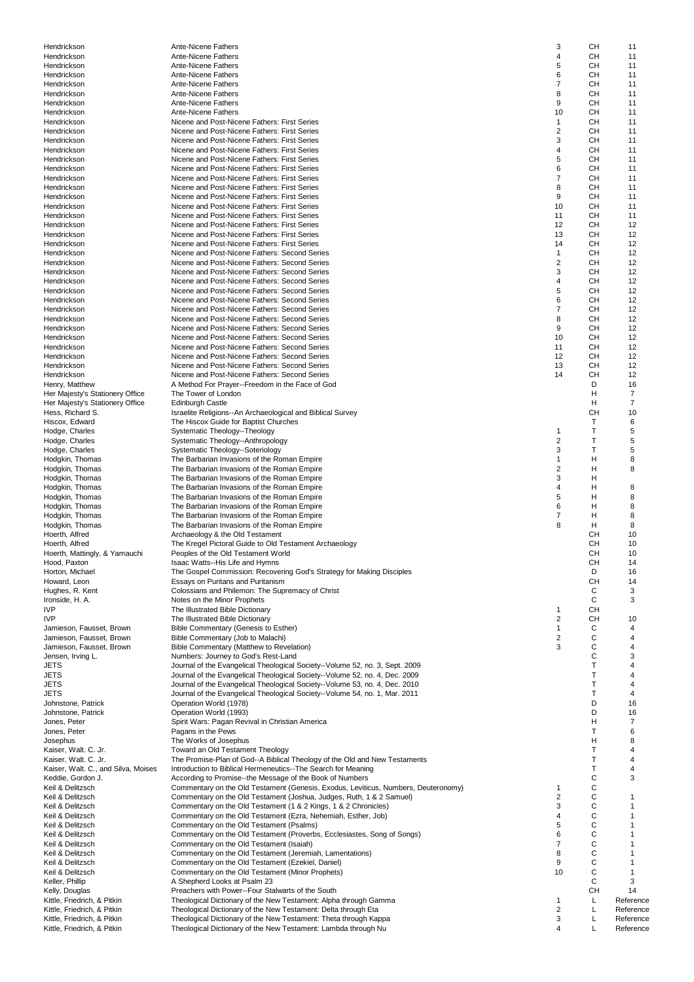| Hendrickson                                              | <b>Ante-Nicene Fathers</b>                                                                                                | 3                            | CН                | 11                |
|----------------------------------------------------------|---------------------------------------------------------------------------------------------------------------------------|------------------------------|-------------------|-------------------|
| Hendrickson                                              | Ante-Nicene Fathers                                                                                                       | $\overline{4}$               | CН                | 11                |
| Hendrickson                                              | Ante-Nicene Fathers                                                                                                       | 5                            | CН                | 11                |
| Hendrickson                                              | Ante-Nicene Fathers                                                                                                       | 6                            | CН                | 11                |
| Hendrickson                                              | Ante-Nicene Fathers<br>Ante-Nicene Fathers                                                                                | $\overline{7}$<br>8          | CН<br>CН          | 11<br>11          |
| Hendrickson<br>Hendrickson                               | Ante-Nicene Fathers                                                                                                       | 9                            | CН                | 11                |
| Hendrickson                                              | <b>Ante-Nicene Fathers</b>                                                                                                | 10                           | CН                | 11                |
| Hendrickson                                              | Nicene and Post-Nicene Fathers: First Series                                                                              | $\mathbf{1}$                 | CН                | 11                |
| Hendrickson                                              | Nicene and Post-Nicene Fathers: First Series                                                                              | $\overline{2}$               | CН                | 11                |
| Hendrickson                                              | Nicene and Post-Nicene Fathers: First Series                                                                              | 3                            | CН                | 11                |
| Hendrickson                                              | Nicene and Post-Nicene Fathers: First Series                                                                              | $\overline{4}$               | CН                | 11                |
| Hendrickson                                              | Nicene and Post-Nicene Fathers: First Series                                                                              | 5                            | CН                | 11                |
| Hendrickson                                              | Nicene and Post-Nicene Fathers: First Series                                                                              | 6                            | CН                | 11                |
| Hendrickson                                              | Nicene and Post-Nicene Fathers: First Series                                                                              | $\overline{7}$               | CН                | 11                |
| Hendrickson                                              | Nicene and Post-Nicene Fathers: First Series<br>Nicene and Post-Nicene Fathers: First Series                              | 8<br>9                       | CН                | 11                |
| Hendrickson<br>Hendrickson                               | Nicene and Post-Nicene Fathers: First Series                                                                              | 10                           | CН<br>CН          | 11<br>11          |
| Hendrickson                                              | Nicene and Post-Nicene Fathers: First Series                                                                              | 11                           | CН                | 11                |
| Hendrickson                                              | Nicene and Post-Nicene Fathers: First Series                                                                              | 12                           | CН                | 12                |
| Hendrickson                                              | Nicene and Post-Nicene Fathers: First Series                                                                              | 13                           | CН                | 12                |
| Hendrickson                                              | Nicene and Post-Nicene Fathers: First Series                                                                              | 14                           | CН                | 12                |
| Hendrickson                                              | Nicene and Post-Nicene Fathers: Second Series                                                                             | $\mathbf{1}$                 | CН                | 12                |
| Hendrickson                                              | Nicene and Post-Nicene Fathers: Second Series                                                                             | $\overline{2}$               | CН                | 12                |
| Hendrickson                                              | Nicene and Post-Nicene Fathers: Second Series                                                                             | 3                            | CН                | 12                |
| Hendrickson                                              | Nicene and Post-Nicene Fathers: Second Series                                                                             | 4                            | CН                | 12                |
| Hendrickson                                              | Nicene and Post-Nicene Fathers: Second Series                                                                             | 5                            | CН                | 12                |
| Hendrickson                                              | Nicene and Post-Nicene Fathers: Second Series                                                                             | 6                            | CН                | 12                |
| Hendrickson                                              | Nicene and Post-Nicene Fathers: Second Series                                                                             | $\overline{7}$               | <b>CH</b>         | 12                |
| Hendrickson                                              | Nicene and Post-Nicene Fathers: Second Series<br>Nicene and Post-Nicene Fathers: Second Series                            | 8<br>9                       | CН<br>CН          | 12<br>12          |
| Hendrickson<br>Hendrickson                               | Nicene and Post-Nicene Fathers: Second Series                                                                             | 10                           | CН                | 12                |
| Hendrickson                                              | Nicene and Post-Nicene Fathers: Second Series                                                                             | 11                           | CН                | 12                |
| Hendrickson                                              | Nicene and Post-Nicene Fathers: Second Series                                                                             | 12                           | CН                | 12                |
| Hendrickson                                              | Nicene and Post-Nicene Fathers: Second Series                                                                             | 13                           | CН                | 12                |
| Hendrickson                                              | Nicene and Post-Nicene Fathers: Second Series                                                                             | 14                           | CН                | 12                |
| Henry, Matthew                                           | A Method For Prayer--Freedom in the Face of God                                                                           |                              | D                 | 16                |
| Her Majesty's Stationery Office                          | The Tower of London                                                                                                       |                              | н                 | 7                 |
| Her Majesty's Stationery Office                          | <b>Edinburgh Castle</b>                                                                                                   |                              | Н                 | 7                 |
| Hess, Richard S.                                         | Israelite Religions--An Archaeological and Biblical Survey                                                                |                              | <b>CH</b>         | 10                |
| Hiscox, Edward                                           | The Hiscox Guide for Baptist Churches                                                                                     |                              | Т                 | 6                 |
| Hodge, Charles                                           | Systematic Theology--Theology                                                                                             | 1<br>$\overline{2}$          | T<br>T            | 5<br>5            |
| Hodge, Charles<br>Hodge, Charles                         | Systematic Theology--Anthropology<br>Systematic Theology--Soteriology                                                     | 3                            | T                 | 5                 |
| Hodgkin, Thomas                                          | The Barbarian Invasions of the Roman Empire                                                                               | $\mathbf{1}$                 | Н                 | 8                 |
| Hodgkin, Thomas                                          | The Barbarian Invasions of the Roman Empire                                                                               | $\overline{2}$               | н                 | 8                 |
| Hodgkin, Thomas                                          | The Barbarian Invasions of the Roman Empire                                                                               | 3                            | Н                 |                   |
| Hodgkin, Thomas                                          | The Barbarian Invasions of the Roman Empire                                                                               | $\overline{4}$               | Н                 | 8                 |
| Hodgkin, Thomas                                          | The Barbarian Invasions of the Roman Empire                                                                               | 5                            | Н                 | 8                 |
| Hodgkin, Thomas                                          | The Barbarian Invasions of the Roman Empire                                                                               | 6                            | Н                 | 8                 |
| Hodgkin, Thomas                                          | The Barbarian Invasions of the Roman Empire                                                                               | $\overline{7}$               | Н                 | 8                 |
| Hodgkin, Thomas                                          | The Barbarian Invasions of the Roman Empire                                                                               | 8                            | H                 | 8                 |
| Hoerth, Alfred                                           | Archaeology & the Old Testament                                                                                           |                              | CН                | 10                |
| Hoerth, Alfred                                           | The Kregel Pictoral Guide to Old Testament Archaeology                                                                    |                              | CН                | 10                |
| Hoerth, Mattingly, & Yamauchi                            | Peoples of the Old Testament World                                                                                        |                              | CН<br>CН          | 10<br>14          |
| Hood, Paxton<br>Horton, Michael                          | Isaac Watts--His Life and Hymns<br>The Gospel Commission: Recovering God's Strategy for Making Disciples                  |                              | D                 | 16                |
| Howard, Leon                                             | Essays on Puritans and Puritanism                                                                                         |                              | CH                | 14                |
| Hughes, R. Kent                                          | Colossians and Philemon: The Supremacy of Christ                                                                          |                              | С                 | 3                 |
| Ironside, H. A.                                          | Notes on the Minor Prophets                                                                                               |                              | C                 | 3                 |
| <b>IVP</b>                                               | The Illustrated Bible Dictionary                                                                                          | 1                            | CН                |                   |
| IVP                                                      | The Illustrated Bible Dictionary                                                                                          | $\overline{\mathbf{c}}$      | CН                | 10                |
| Jamieson, Fausset, Brown                                 | Bible Commentary (Genesis to Esther)                                                                                      | $\mathbf{1}$                 | С                 | 4                 |
| Jamieson, Fausset, Brown                                 | Bible Commentary (Job to Malachi)                                                                                         | $\overline{\mathbf{c}}$<br>3 | C<br>$\mathsf{C}$ | 4                 |
| Jamieson, Fausset, Brown<br>Jensen, Irving L.            | Bible Commentary (Matthew to Revelation)<br>Numbers: Journey to God's Rest-Land                                           |                              | C                 | 4<br>3            |
| JETS                                                     | Journal of the Evangelical Theological Society--Volume 52, no. 3, Sept. 2009                                              |                              | $\top$            | $\overline{4}$    |
| JETS                                                     | Journal of the Evangelical Theological Society--Volume 52, no. 4, Dec. 2009                                               |                              | T                 | 4                 |
| JETS                                                     | Journal of the Evangelical Theological Society--Volume 53, no. 4, Dec. 2010                                               |                              | Т                 | 4                 |
| JETS                                                     | Journal of the Evangelical Theological Society--Volume 54, no. 1, Mar. 2011                                               |                              | $\mathsf{T}$      | 4                 |
| Johnstone, Patrick                                       | Operation World (1978)                                                                                                    |                              | D                 | 16                |
| Johnstone, Patrick                                       | Operation World (1993)                                                                                                    |                              | D                 | 16                |
| Jones, Peter                                             | Spirit Wars: Pagan Revival in Christian America                                                                           |                              | Н                 | 7                 |
| Jones, Peter                                             | Pagans in the Pews                                                                                                        |                              | T                 | 6                 |
| Josephus                                                 | The Works of Josephus                                                                                                     |                              | н                 | 8                 |
| Kaiser, Walt. C. Jr.                                     | Toward an Old Testament Theology                                                                                          |                              | T<br>T            | 4                 |
| Kaiser, Walt. C. Jr.                                     | The Promise-Plan of God--A Biblical Theology of the Old and New Testaments                                                |                              | T                 | 4<br>4            |
| Kaiser, Walt. C., and Silva, Moises<br>Keddie, Gordon J. | Introduction to Biblical Hermeneutics--The Search for Meaning<br>According to Promise--the Message of the Book of Numbers |                              | C                 | 3                 |
| Keil & Delitzsch                                         | Commentary on the Old Testament (Genesis, Exodus, Leviticus, Numbers, Deuteronomy)                                        | 1                            | C                 |                   |
| Keil & Delitzsch                                         | Commentary on the Old Testament (Joshua, Judges, Ruth, 1 & 2 Samuel)                                                      | $\overline{2}$               | $\mathsf{C}$      | 1                 |
| Keil & Delitzsch                                         | Commentary on the Old Testament (1 & 2 Kings, 1 & 2 Chronicles)                                                           | 3                            | C                 | $\mathbf{1}$      |
| Keil & Delitzsch                                         | Commentary on the Old Testament (Ezra, Nehemiah, Esther, Job)                                                             | 4                            | C                 | 1                 |
| Keil & Delitzsch                                         | Commentary on the Old Testament (Psalms)                                                                                  | 5                            | $\mathsf{C}$      | $\mathbf{1}$      |
| Keil & Delitzsch                                         | Commentary on the Old Testament (Proverbs, Ecclesiastes, Song of Songs)                                                   | 6                            | $\mathsf{C}$      | $\mathbf{1}$      |
| Keil & Delitzsch                                         | Commentary on the Old Testament (Isaiah)                                                                                  | $\overline{7}$               | C                 | $\mathbf{1}$      |
| Keil & Delitzsch                                         | Commentary on the Old Testament (Jeremiah, Lamentations)                                                                  | 8                            | $\mathsf{C}$      | $\mathbf{1}$      |
| Keil & Delitzsch                                         | Commentary on the Old Testament (Ezekiel, Daniel)                                                                         | 9                            | C                 | $\mathbf{1}$      |
| Keil & Delitzsch                                         | Commentary on the Old Testament (Minor Prophets)<br>A Shepherd Looks at Psalm 23                                          | 10                           | C<br>C            | $\mathbf{1}$<br>3 |
| Keller, Phillip<br>Kelly, Douglas                        | Preachers with Power--Four Stalwarts of the South                                                                         |                              | CН                | 14                |
| Kittle, Friedrich, & Pitkin                              | Theological Dictionary of the New Testament: Alpha through Gamma                                                          | 1                            | Г                 | Reference         |
| Kittle, Friedrich, & Pitkin                              | Theological Dictionary of the New Testament: Delta through Eta                                                            | $\overline{\mathbf{c}}$      | L                 | Reference         |
| Kittle, Friedrich, & Pitkin                              | Theological Dictionary of the New Testament: Theta through Kappa                                                          | 3                            | Г                 | Reference         |
| Kittle, Friedrich, & Pitkin                              | Theological Dictionary of the New Testament: Lambda through Nu                                                            | 4                            | Г                 | Reference         |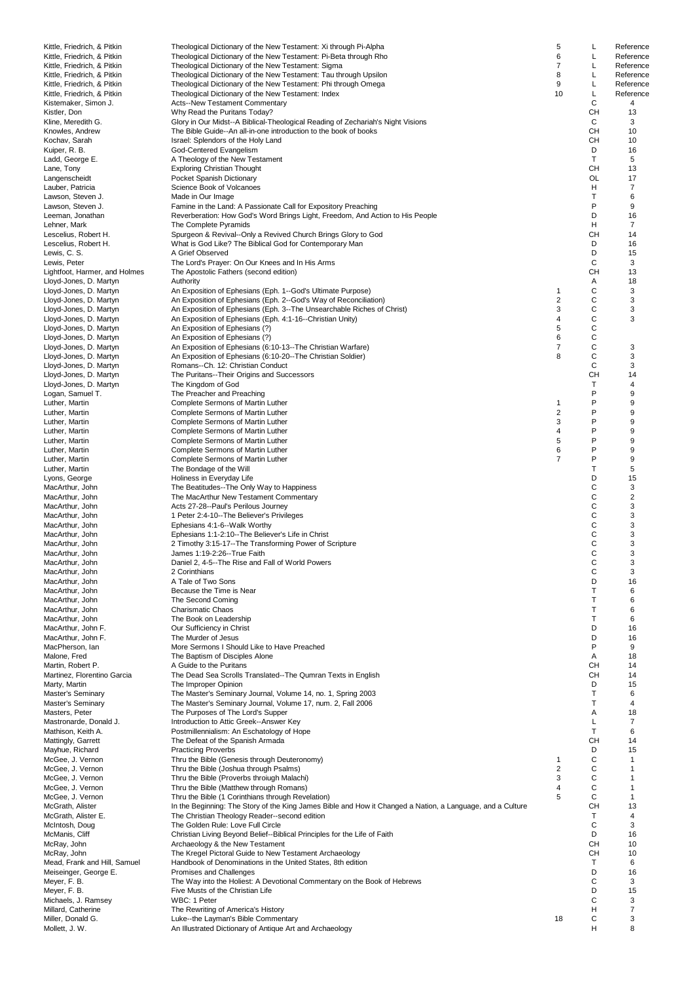| Kittle, Friedrich, & Pitkin   | Theological Dictionary of the New Testament: Xi through Pi-Alpha                                           | 5                | L            | Reference      |
|-------------------------------|------------------------------------------------------------------------------------------------------------|------------------|--------------|----------------|
| Kittle, Friedrich, & Pitkin   | Theological Dictionary of the New Testament: Pi-Beta through Rho                                           | 6                | L            | Reference      |
| Kittle, Friedrich, & Pitkin   | Theological Dictionary of the New Testament: Sigma                                                         | 7                | L            | Reference      |
|                               |                                                                                                            | 8                | L            |                |
| Kittle, Friedrich, & Pitkin   | Theological Dictionary of the New Testament: Tau through Upsilon                                           |                  |              | Reference      |
| Kittle, Friedrich, & Pitkin   | Theological Dictionary of the New Testament: Phi through Omega                                             | 9                | L            | Reference      |
| Kittle, Friedrich, & Pitkin   | Theological Dictionary of the New Testament: Index                                                         | 10               | L            | Reference      |
| Kistemaker, Simon J.          | Acts--New Testament Commentary                                                                             |                  | C            | 4              |
| Kistler, Don                  | Why Read the Puritans Today?                                                                               |                  | CН           | 13             |
| Kline, Meredith G.            | Glory in Our Midst--A Biblical-Theological Reading of Zechariah's Night Visions                            |                  | C            | 3              |
| Knowles, Andrew               | The Bible Guide--An all-in-one introduction to the book of books                                           |                  | <b>CH</b>    | 10             |
| Kochav, Sarah                 | Israel: Splendors of the Holy Land                                                                         |                  | CН           | 10             |
|                               |                                                                                                            |                  |              |                |
| Kuiper, R. B.                 | God-Centered Evangelism                                                                                    |                  | D            | 16             |
| Ladd, George E.               | A Theology of the New Testament                                                                            |                  | Τ            | 5              |
| Lane, Tony                    | <b>Exploring Christian Thought</b>                                                                         |                  | CН           | 13             |
| Langenscheidt                 | Pocket Spanish Dictionary                                                                                  |                  | <b>OL</b>    | 17             |
| Lauber, Patricia              | Science Book of Volcanoes                                                                                  |                  | н            | 7              |
| Lawson, Steven J.             | Made in Our Image                                                                                          |                  | Т            | 6              |
| Lawson, Steven J.             | Famine in the Land: A Passionate Call for Expository Preaching                                             |                  | P            | 9              |
|                               |                                                                                                            |                  |              |                |
| Leeman, Jonathan              | Reverberation: How God's Word Brings Light, Freedom, And Action to His People                              |                  | D            | 16             |
| Lehner, Mark                  | The Complete Pyramids                                                                                      |                  | н            | 7              |
| Lescelius, Robert H.          | Spurgeon & Revival--Only a Revived Church Brings Glory to God                                              |                  | CН           | 14             |
| Lescelius, Robert H.          | What is God Like? The Biblical God for Contemporary Man                                                    |                  | D            | 16             |
| Lewis, C. S.                  | A Grief Observed                                                                                           |                  | D            | 15             |
| Lewis, Peter                  | The Lord's Prayer: On Our Knees and In His Arms                                                            |                  | C            | 3              |
| Lightfoot, Harmer, and Holmes | The Apostolic Fathers (second edition)                                                                     |                  | CН           | 13             |
|                               |                                                                                                            |                  |              | 18             |
| Lloyd-Jones, D. Martyn        | Authority                                                                                                  |                  | Α            |                |
| Lloyd-Jones, D. Martyn        | An Exposition of Ephesians (Eph. 1--God's Ultimate Purpose)                                                | $\mathbf{1}$     | C            | 3              |
| Lloyd-Jones, D. Martyn        | An Exposition of Ephesians (Eph. 2--God's Way of Reconciliation)                                           | $\overline{2}$   | C            | 3              |
| Lloyd-Jones, D. Martyn        | An Exposition of Ephesians (Eph. 3--The Unsearchable Riches of Christ)                                     | 3                | C            | 3              |
| Lloyd-Jones, D. Martyn        | An Exposition of Ephesians (Eph. 4:1-16--Christian Unity)                                                  | 4                | C            | 3              |
| Lloyd-Jones, D. Martyn        | An Exposition of Ephesians (?)                                                                             | 5                | C            |                |
| Lloyd-Jones, D. Martyn        | An Exposition of Ephesians (?)                                                                             | 6                | C            |                |
|                               |                                                                                                            |                  |              |                |
| Lloyd-Jones, D. Martyn        | An Exposition of Ephesians (6:10-13--The Christian Warfare)                                                | $\overline{7}$   | C            | 3              |
| Lloyd-Jones, D. Martyn        | An Exposition of Ephesians (6:10-20--The Christian Soldier)                                                | 8                | C            | 3              |
| Lloyd-Jones, D. Martyn        | Romans--Ch. 12: Christian Conduct                                                                          |                  | C            | 3              |
| Lloyd-Jones, D. Martyn        | The Puritans--Their Origins and Successors                                                                 |                  | <b>CH</b>    | 14             |
| Lloyd-Jones, D. Martyn        | The Kingdom of God                                                                                         |                  | $\mathsf{T}$ | 4              |
| Logan, Samuel T.              | The Preacher and Preaching                                                                                 |                  | P            | 9              |
|                               |                                                                                                            |                  | P            |                |
| Luther, Martin                | Complete Sermons of Martin Luther                                                                          | $\mathbf{1}$     |              | 9              |
| Luther, Martin                | Complete Sermons of Martin Luther                                                                          | $\boldsymbol{2}$ | P            | 9              |
| Luther, Martin                | Complete Sermons of Martin Luther                                                                          | 3                | P            | 9              |
| Luther, Martin                | Complete Sermons of Martin Luther                                                                          | 4                | P            | 9              |
| Luther, Martin                | Complete Sermons of Martin Luther                                                                          | 5                | P            | 9              |
| Luther, Martin                | Complete Sermons of Martin Luther                                                                          | 6                | P            | 9              |
| Luther, Martin                | Complete Sermons of Martin Luther                                                                          | $\overline{7}$   | P            | 9              |
|                               |                                                                                                            |                  | $\mathsf{T}$ |                |
| Luther, Martin                | The Bondage of the Will                                                                                    |                  |              | 5              |
| Lyons, George                 | Holiness in Everyday Life                                                                                  |                  | D            | 15             |
| MacArthur, John               | The Beatitudes--The Only Way to Happiness                                                                  |                  | C            | 3              |
| MacArthur, John               | The MacArthur New Testament Commentary                                                                     |                  | C            | $\overline{c}$ |
| MacArthur, John               | Acts 27-28--Paul's Perilous Journey                                                                        |                  | C            | 3              |
| MacArthur, John               | 1 Peter 2:4-10--The Believer's Privileges                                                                  |                  | C            | 3              |
|                               |                                                                                                            |                  | C            | 3              |
| MacArthur, John               | Ephesians 4:1-6--Walk Worthy                                                                               |                  |              |                |
| MacArthur, John               | Ephesians 1:1-2:10--The Believer's Life in Christ                                                          |                  | C            | 3              |
| MacArthur, John               | 2 Timothy 3:15-17--The Transforming Power of Scripture                                                     |                  | C            | 3              |
| MacArthur, John               | James 1:19-2:26--True Faith                                                                                |                  | C            | 3              |
| MacArthur, John               | Daniel 2, 4-5--The Rise and Fall of World Powers                                                           |                  | C            | 3              |
| MacArthur, John               | 2 Corinthians                                                                                              |                  | C            | 3              |
| MacArthur, John               | A Tale of Two Sons                                                                                         |                  | D            | 16             |
| MacArthur, John               | Because the Time is Near                                                                                   |                  | $\mathsf{T}$ | 6              |
|                               |                                                                                                            |                  |              |                |
| MacArthur, John               | The Second Coming                                                                                          |                  | $\mathsf{T}$ | 6              |
| MacArthur, John               | <b>Charismatic Chaos</b>                                                                                   |                  | Т            | 6              |
| MacArthur, John               | The Book on Leadership                                                                                     |                  | $\mathsf{T}$ | 6              |
| MacArthur, John F.            | Our Sufficiency in Christ                                                                                  |                  | D            | 16             |
| MacArthur, John F.            | The Murder of Jesus                                                                                        |                  | D            | 16             |
| MacPherson, Ian               | More Sermons I Should Like to Have Preached                                                                |                  | P            | 9              |
| Malone, Fred                  | The Baptism of Disciples Alone                                                                             |                  | Α            | 18             |
|                               | A Guide to the Puritans                                                                                    |                  | CН           | 14             |
| Martin, Robert P.             |                                                                                                            |                  |              |                |
| Martinez, Florentino Garcia   | The Dead Sea Scrolls Translated--The Qumran Texts in English                                               |                  | <b>CH</b>    | 14             |
| Marty, Martin                 | The Improper Opinion                                                                                       |                  | D            | 15             |
| Master's Seminary             | The Master's Seminary Journal, Volume 14, no. 1, Spring 2003                                               |                  | T            | 6              |
| Master's Seminary             | The Master's Seminary Journal, Volume 17, num. 2, Fall 2006                                                |                  | $\mathsf{T}$ | 4              |
| Masters, Peter                | The Purposes of The Lord's Supper                                                                          |                  | Α            | 18             |
| Mastronarde, Donald J.        | Introduction to Attic Greek--Answer Key                                                                    |                  | Г            | 7              |
| Mathison, Keith A.            | Postmillennialism: An Eschatology of Hope                                                                  |                  | Τ            | 6              |
|                               |                                                                                                            |                  |              |                |
| Mattingly, Garrett            | The Defeat of the Spanish Armada                                                                           |                  | CН           | 14             |
| Mayhue, Richard               | <b>Practicing Proverbs</b>                                                                                 |                  | D            | 15             |
| McGee, J. Vernon              | Thru the Bible (Genesis through Deuteronomy)                                                               | $\mathbf{1}$     | C            | $\mathbf{1}$   |
| McGee, J. Vernon              | Thru the Bible (Joshua through Psalms)                                                                     | $\overline{2}$   | C            | $\mathbf{1}$   |
| McGee, J. Vernon              | Thru the Bible (Proverbs throiugh Malachi)                                                                 | 3                | C            | 1              |
| McGee, J. Vernon              | Thru the Bible (Matthew through Romans)                                                                    | 4                | C            | $\mathbf{1}$   |
|                               |                                                                                                            | 5                | C            | $\mathbf{1}$   |
| McGee, J. Vernon              | Thru the Bible (1 Corinthians through Revelation)                                                          |                  |              |                |
| McGrath, Alister              | In the Beginning: The Story of the King James Bible and How it Changed a Nation, a Language, and a Culture |                  | <b>CH</b>    | 13             |
| McGrath, Alister E.           | The Christian Theology Reader--second edition                                                              |                  | Τ            | 4              |
| McIntosh, Doug                | The Golden Rule: Love Full Circle                                                                          |                  | С            | 3              |
| McManis, Cliff                | Christian Living Beyond Belief--Biblical Principles for the Life of Faith                                  |                  | D            | 16             |
| McRay, John                   | Archaeology & the New Testament                                                                            |                  | CН           | 10             |
| McRay, John                   | The Kregel Pictoral Guide to New Testament Archaeology                                                     |                  | <b>CH</b>    | 10             |
|                               |                                                                                                            |                  | Τ            |                |
| Mead, Frank and Hill, Samuel  | Handbook of Denominations in the United States, 8th edition                                                |                  |              | 6              |
| Meiseinger, George E.         | Promises and Challenges                                                                                    |                  | D            | 16             |
| Meyer, F. B.                  | The Way into the Holiest: A Devotional Commentary on the Book of Hebrews                                   |                  | C            | 3              |
| Meyer, F. B.                  | Five Musts of the Christian Life                                                                           |                  | D            | 15             |
| Michaels, J. Ramsey           | WBC: 1 Peter                                                                                               |                  | C            | 3              |
| Millard, Catherine            | The Rewriting of America's History                                                                         |                  | Н            | $\overline{7}$ |
| Miller, Donald G.             | Luke--the Layman's Bible Commentary                                                                        | 18               | C            | 3              |
|                               |                                                                                                            |                  | Н            | 8              |
| Mollett, J. W.                | An Illustrated Dictionary of Antique Art and Archaeology                                                   |                  |              |                |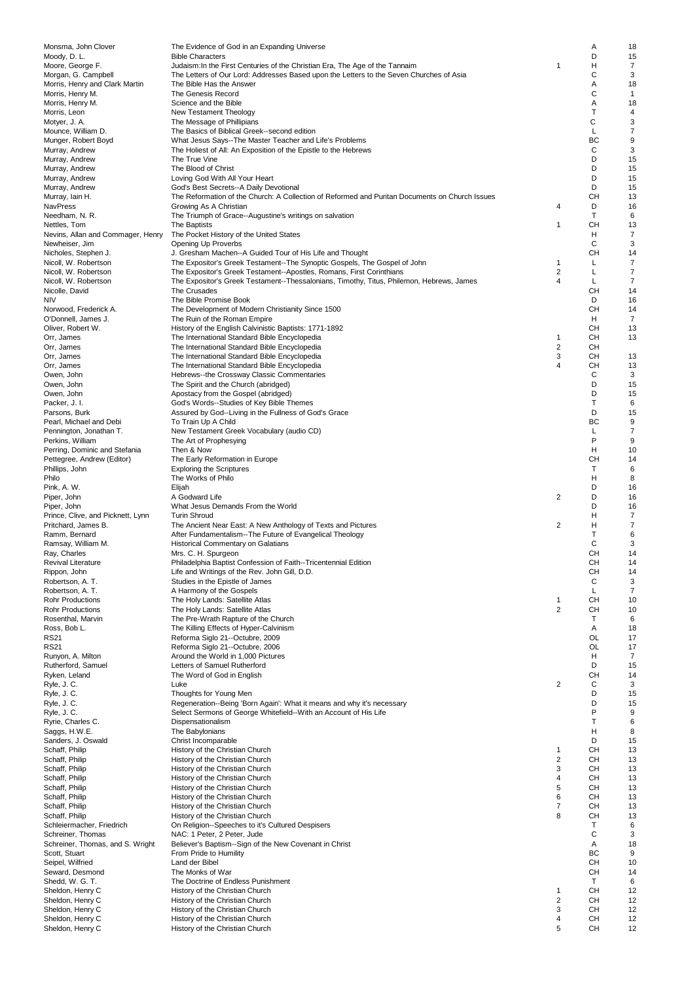| Monsma, John Clover                      | The Evidence of God in an Expanding Universe                                                   |                         | Α  | 18             |
|------------------------------------------|------------------------------------------------------------------------------------------------|-------------------------|----|----------------|
| Moody, D. L.                             | <b>Bible Characters</b>                                                                        |                         | D  | 15             |
| Moore, George F.                         | Judaism: In the First Centuries of the Christian Era, The Age of the Tannaim                   | $\mathbf 1$             | н  | 7              |
| Morgan, G. Campbell                      | The Letters of Our Lord: Addresses Based upon the Letters to the Seven Churches of Asia        |                         | С  | 3              |
| Morris, Henry and Clark Martin           | The Bible Has the Answer                                                                       |                         | Α  | 18             |
| Morris, Henry M.                         | The Genesis Record                                                                             |                         | C  | $\mathbf{1}$   |
| Morris, Henry M.                         | Science and the Bible                                                                          |                         | Α  | 18             |
| Morris, Leon                             | New Testament Theology                                                                         |                         | Т  | 4              |
| Motyer, J. A.                            | The Message of Phillipians                                                                     |                         | C  | 3              |
| Mounce, William D.                       | The Basics of Biblical Greek--second edition                                                   |                         | Г  | 7              |
| Munger, Robert Boyd                      | What Jesus Says--The Master Teacher and Life's Problems                                        |                         | BC | 9              |
| Murray, Andrew                           | The Holiest of All: An Exposition of the Epistle to the Hebrews                                |                         | С  | 3              |
| Murray, Andrew                           | The True Vine                                                                                  |                         | D  | 15             |
| Murray, Andrew                           | The Blood of Christ                                                                            |                         | D  | 15             |
| Murray, Andrew                           | Loving God With All Your Heart                                                                 |                         | D  | 15             |
| Murray, Andrew                           | God's Best Secrets--A Daily Devotional                                                         |                         | D  | 15             |
| Murray, Iain H.                          | The Reformation of the Church: A Collection of Reformed and Puritan Documents on Church Issues |                         | CH | 13             |
| NavPress                                 | Growing As A Christian                                                                         | 4                       | D  | 16             |
| Needham, N. R.                           | The Triumph of Grace--Augustine's writings on salvation                                        |                         | т  | 6              |
| Nettles, Tom                             | The Baptists                                                                                   | 1                       | CН | 13             |
| Nevins, Allan and Commager, Henry        | The Pocket History of the United States                                                        |                         | н  | 7              |
| Newheiser, Jim                           | Opening Up Proverbs                                                                            |                         | С  | 3              |
| Nicholes, Stephen J.                     | J. Gresham Machen--A Guided Tour of His Life and Thought                                       |                         | CН | 14             |
| Nicoll, W. Robertson                     | The Expositor's Greek Testament--The Synoptic Gospels, The Gospel of John                      | 1                       | Г  | 7              |
| Nicoll, W. Robertson                     | The Expositor's Greek Testament--Apostles, Romans, First Corinthians                           | $\overline{\mathbf{c}}$ | L  | 7              |
| Nicoll, W. Robertson                     | The Expositor's Greek Testament--Thessalonians, Timothy, Titus, Philemon, Hebrews, James       | 4                       | Г  | $\overline{7}$ |
| Nicolle, David                           | The Crusades                                                                                   |                         | CH | 14             |
| <b>NIV</b>                               | The Bible Promise Book                                                                         |                         | D  | 16             |
| Norwood, Frederick A.                    | The Development of Modern Christianity Since 1500                                              |                         | CН | 14             |
| O'Donnell, James J.                      | The Ruin of the Roman Empire                                                                   |                         | н  | $\overline{7}$ |
| Oliver, Robert W.                        | History of the English Calvinistic Baptists: 1771-1892                                         |                         | CH | 13             |
| Orr, James                               | The International Standard Bible Encyclopedia                                                  | $\mathbf{1}$            | CН | 13             |
| Orr, James                               | The International Standard Bible Encyclopedia                                                  | $\overline{2}$          | CН |                |
| Orr, James                               | The International Standard Bible Encyclopedia                                                  | 3                       | CН | 13             |
| Orr, James                               | The International Standard Bible Encyclopedia                                                  | 4                       | CН | 13             |
| Owen, John                               | Hebrews--the Crossway Classic Commentaries                                                     |                         | С  | 3              |
| Owen, John                               | The Spirit and the Church (abridged)                                                           |                         | D  | 15             |
| Owen, John                               | Apostacy from the Gospel (abridged)                                                            |                         | D  | 15             |
| Packer, J. I.                            | God's Words--Studies of Key Bible Themes                                                       |                         | Т  | 6              |
|                                          |                                                                                                |                         | D  | 15             |
| Parsons, Burk<br>Pearl, Michael and Debi | Assured by God--Living in the Fullness of God's Grace<br>To Train Up A Child                   |                         | BC | 9              |
|                                          |                                                                                                |                         | Г  | $\overline{7}$ |
| Pennington, Jonathan T.                  | New Testament Greek Vocabulary (audio CD)                                                      |                         | P  | 9              |
| Perkins, William                         | The Art of Prophesying                                                                         |                         |    |                |
| Perring, Dominic and Stefania            | Then & Now                                                                                     |                         | н  | 10             |
| Pettegree, Andrew (Editor)               | The Early Reformation in Europe                                                                |                         | CН | 14             |
| Phillips, John                           | <b>Exploring the Scriptures</b>                                                                |                         | Т  | 6              |
| Philo                                    | The Works of Philo                                                                             |                         | н  | 8              |
| Pink, A. W.                              | Elijah                                                                                         |                         | D  | 16             |
| Piper, John                              | A Godward Life                                                                                 | 2                       | D  | 16             |
| Piper, John                              | What Jesus Demands From the World                                                              |                         | D  | 16             |
| Prince, Clive, and Picknett, Lynn        | <b>Turin Shroud</b>                                                                            |                         | н  | 7              |
| Pritchard, James B.                      | The Ancient Near East: A New Anthology of Texts and Pictures                                   | 2                       | н  | 7              |
| Ramm, Bernard                            | After Fundamentalism--The Future of Evangelical Theology                                       |                         | T  | 6              |
| Ramsay, William M.                       | Historical Commentary on Galatians                                                             |                         | C  | 3              |
| Ray, Charles                             | Mrs. C. H. Spurgeon                                                                            |                         | CН | 14             |
| <b>Revival Literature</b>                | Philadelphia Baptist Confession of Faith--Tricentennial Edition                                |                         | CH | 14             |
| Rippon, John                             | Life and Writings of the Rev. John Gill, D.D.                                                  |                         | CН | 14             |
| Robertson, A. T.                         | Studies in the Epistle of James                                                                |                         | C  | 3              |
| Robertson, A. T.                         | A Harmony of the Gospels                                                                       |                         | L  | $\overline{7}$ |
| <b>Rohr Productions</b>                  | The Holy Lands: Satellite Atlas                                                                | 1                       | CН | 10             |
| <b>Rohr Productions</b>                  | The Holy Lands: Satellite Atlas                                                                | $\overline{2}$          | CН | 10             |
| Rosenthal, Marvin                        | The Pre-Wrath Rapture of the Church                                                            |                         | т  | 6              |
| Ross, Bob L.                             | The Killing Effects of Hyper-Calvinism                                                         |                         | Α  | 18             |
| <b>RS21</b>                              | Reforma Siglo 21--Octubre, 2009                                                                |                         | OL | 17             |
| <b>RS21</b>                              | Reforma Siglo 21--Octubre, 2006                                                                |                         | OL | 17             |
| Runyon, A. Milton                        | Around the World in 1,000 Pictures                                                             |                         | н  | 7              |
| Rutherford, Samuel                       | Letters of Samuel Rutherford                                                                   |                         | D  | 15             |
| Ryken, Leland                            | The Word of God in English                                                                     |                         | CН | 14             |
| Ryle, J.C.                               | Luke                                                                                           | $\overline{2}$          | С  | 3              |
| Ryle, J.C.                               | Thoughts for Young Men                                                                         |                         | D  | 15             |
| Ryle, J.C.                               | Regeneration--Being 'Born Again': What it means and why it's necessary                         |                         | D  | 15             |
| Ryle, J.C.                               | Select Sermons of George Whitefield--With an Account of His Life                               |                         | P  | 9              |
| Ryrie, Charles C.                        | Dispensationalism                                                                              |                         | T  | 6              |
| Saggs, H.W.E.                            | The Babylonians                                                                                |                         | н  | 8              |
| Sanders, J. Oswald                       | Christ Incomparable                                                                            |                         | D  | 15             |
| Schaff, Philip                           | History of the Christian Church                                                                | 1                       | CН | 13             |
| Schaff, Philip                           | History of the Christian Church                                                                | $\overline{\mathbf{c}}$ | CН | 13             |
| Schaff, Philip                           | History of the Christian Church                                                                | 3                       | CH | 13             |
| Schaff, Philip                           | History of the Christian Church                                                                | 4                       | CН | 13             |
| Schaff, Philip                           | History of the Christian Church                                                                | 5                       | CН | 13             |
| Schaff, Philip                           | History of the Christian Church                                                                | 6                       | CН | 13             |
| Schaff, Philip                           | History of the Christian Church                                                                | $\overline{7}$          | CН | 13             |
| Schaff, Philip                           | History of the Christian Church                                                                | 8                       | CН | 13             |
| Schleiermacher, Friedrich                | On Religion--Speeches to it's Cultured Despisers                                               |                         | Т  | 6              |
| Schreiner, Thomas                        | NAC: 1 Peter, 2 Peter, Jude                                                                    |                         | С  | 3              |
| Schreiner, Thomas, and S. Wright         | Believer's Baptism--Sign of the New Covenant in Christ                                         |                         | Α  | 18             |
| Scott, Stuart                            | From Pride to Humility                                                                         |                         | ВC | 9              |
| Seipel, Wilfried                         | Land der Bibel                                                                                 |                         | CН | 10             |
| Seward, Desmond                          | The Monks of War                                                                               |                         | CН | 14             |
| Shedd, W. G. T.                          | The Doctrine of Endless Punishment                                                             |                         | T  | 6              |
| Sheldon, Henry C                         | History of the Christian Church                                                                | $\mathbf{1}$            | CН | 12             |
| Sheldon, Henry C                         | History of the Christian Church                                                                | $\overline{\mathbf{c}}$ | CН | 12             |
| Sheldon, Henry C                         | History of the Christian Church                                                                | 3                       | CН | 12             |
|                                          |                                                                                                | 4                       | СH | 12             |
| Sheldon, Henry C                         | History of the Christian Church                                                                |                         |    |                |
| Sheldon, Henry C                         | History of the Christian Church                                                                | 5                       | CН | 12             |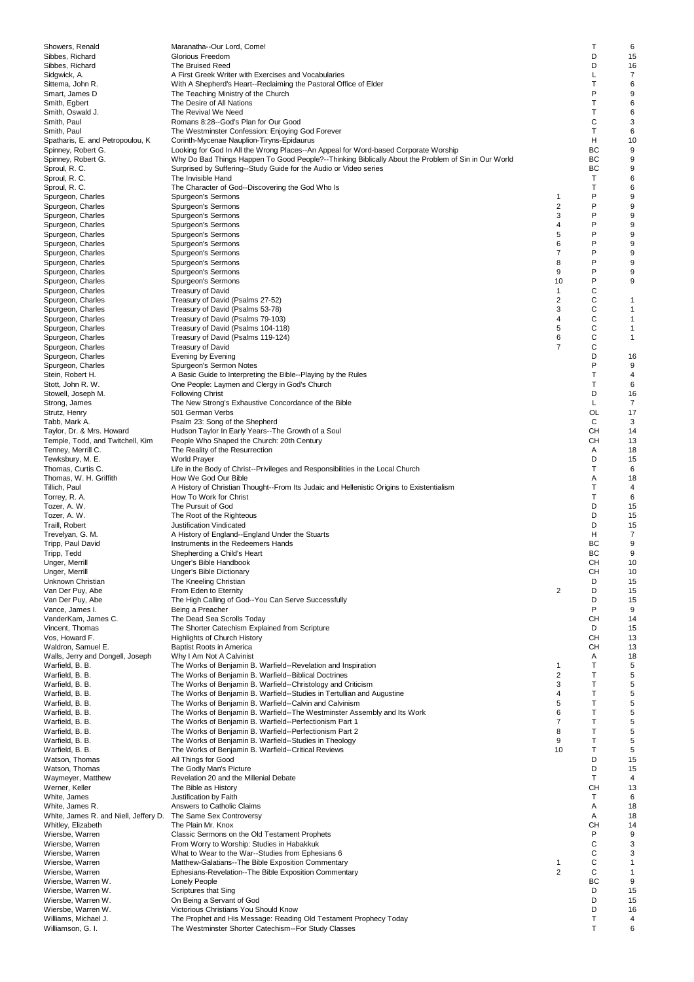| Showers, Renald                       | Maranatha--Our Lord, Come!                                                                          |                         | т  | 6              |
|---------------------------------------|-----------------------------------------------------------------------------------------------------|-------------------------|----|----------------|
| Sibbes, Richard                       | Glorious Freedom                                                                                    |                         | D  | 15             |
| Sibbes, Richard                       | The Bruised Reed                                                                                    |                         | D  | 16             |
| Sidgwick, A.                          | A First Greek Writer with Exercises and Vocabularies                                                |                         | Г  | $\overline{7}$ |
| Sittema, John R.                      | With A Shepherd's Heart--Reclaiming the Pastoral Office of Elder                                    |                         | T  | 6              |
| Smart, James D                        | The Teaching Ministry of the Church                                                                 |                         | P  | 9              |
| Smith, Egbert                         | The Desire of All Nations                                                                           |                         | T  | 6              |
| Smith, Oswald J.                      | The Revival We Need                                                                                 |                         | Т  | 6              |
| Smith, Paul                           | Romans 8:28--God's Plan for Our Good                                                                |                         | C  | 3              |
| Smith, Paul                           | The Westminster Confession: Enjoying God Forever                                                    |                         | T  | 6              |
| Spatharis, E. and Petropoulou, K.     | Corinth-Mycenae Nauplion-Tiryns-Epidaurus                                                           |                         | н  | 10             |
| Spinney, Robert G.                    | Looking for God In All the Wrong Places--An Appeal for Word-based Corporate Worship                 |                         | BC | 9              |
| Spinney, Robert G.                    | Why Do Bad Things Happen To Good People?--Thinking Biblically About the Problem of Sin in Our World |                         | BC | 9              |
| Sproul, R. C.                         | Surprised by Suffering--Study Guide for the Audio or Video series                                   |                         | ВC | 9              |
| Sproul, R. C.                         | The Invisible Hand                                                                                  |                         | T  | 6              |
| Sproul, R. C.                         | The Character of God--Discovering the God Who Is                                                    |                         | Т  | 6              |
| Spurgeon, Charles                     | Spurgeon's Sermons                                                                                  | 1                       | P  | 9              |
| Spurgeon, Charles                     | Spurgeon's Sermons                                                                                  | 2                       | P  | 9              |
| Spurgeon, Charles                     | Spurgeon's Sermons                                                                                  | 3                       | P  | 9              |
| Spurgeon, Charles                     | Spurgeon's Sermons                                                                                  | 4                       | P  | 9              |
| Spurgeon, Charles                     | Spurgeon's Sermons                                                                                  | 5                       | P  | 9              |
| Spurgeon, Charles                     | Spurgeon's Sermons                                                                                  | 6                       | P  | 9              |
| Spurgeon, Charles                     | Spurgeon's Sermons                                                                                  | 7                       | P  | 9              |
| Spurgeon, Charles                     | Spurgeon's Sermons                                                                                  | 8                       | P  | 9              |
| Spurgeon, Charles                     | Spurgeon's Sermons                                                                                  | 9                       | P  | 9              |
| Spurgeon, Charles                     | Spurgeon's Sermons                                                                                  | 10                      | P  | 9              |
| Spurgeon, Charles                     | <b>Treasury of David</b>                                                                            | 1                       | C  |                |
| Spurgeon, Charles                     | Treasury of David (Psalms 27-52)                                                                    | 2                       | С  | $\mathbf{1}$   |
| Spurgeon, Charles                     | Treasury of David (Psalms 53-78)                                                                    | 3                       | C  | $\mathbf{1}$   |
| Spurgeon, Charles                     | Treasury of David (Psalms 79-103)                                                                   | 4                       | C  | $\mathbf{1}$   |
| Spurgeon, Charles                     | Treasury of David (Psalms 104-118)                                                                  | 5                       | С  | $\mathbf{1}$   |
| Spurgeon, Charles                     | Treasury of David (Psalms 119-124)                                                                  | 6                       | C  | $\mathbf{1}$   |
| Spurgeon, Charles                     | <b>Treasury of David</b>                                                                            | $\overline{7}$          | C  |                |
| Spurgeon, Charles                     | Evening by Evening                                                                                  |                         | D  | 16             |
| Spurgeon, Charles                     | Spurgeon's Sermon Notes                                                                             |                         | P  | 9              |
| Stein, Robert H.                      | A Basic Guide to Interpreting the Bible--Playing by the Rules                                       |                         | Т  | 4              |
| Stott, John R. W.                     | One People: Laymen and Clergy in God's Church                                                       |                         | Т  | 6              |
| Stowell, Joseph M.                    | <b>Following Christ</b>                                                                             |                         | D  | 16             |
| Strong, James                         | The New Strong's Exhaustive Concordance of the Bible                                                |                         | Г  | 7              |
| Strutz, Henry                         | 501 German Verbs                                                                                    |                         | OL | 17             |
| Tabb, Mark A.                         | Psalm 23: Song of the Shepherd                                                                      |                         | С  | 3              |
| Taylor, Dr. & Mrs. Howard             | Hudson Taylor In Early Years--The Growth of a Soul                                                  |                         | CН | 14             |
| Temple, Todd, and Twitchell, Kim      | People Who Shaped the Church: 20th Century                                                          |                         | CН | 13             |
| Tenney, Merrill C.                    | The Reality of the Resurrection                                                                     |                         | Α  | 18             |
| Tewksbury, M. E.                      | <b>World Prayer</b>                                                                                 |                         | D  | 15             |
| Thomas, Curtis C.                     | Life in the Body of Christ--Privileges and Responsibilities in the Local Church                     |                         | T  | 6              |
| Thomas, W. H. Griffith                | How We God Our Bible                                                                                |                         | Α  | 18             |
| Tillich, Paul                         | A History of Christian Thought--From Its Judaic and Hellenistic Origins to Existentialism           |                         | Т  | 4              |
| Torrey, R. A.                         | How To Work for Christ                                                                              |                         | T  | 6              |
| Tozer, A. W.                          | The Pursuit of God                                                                                  |                         | D  | 15             |
| Tozer, A. W.                          | The Root of the Righteous                                                                           |                         | D  | 15             |
| Traill, Robert                        | Justification Vindicated                                                                            |                         | D  | 15             |
| Trevelyan, G. M.                      | A History of England--England Under the Stuarts                                                     |                         | н  | 7              |
| Tripp, Paul David                     | Instruments in the Redeemers Hands                                                                  |                         | BC | 9              |
| Tripp, Tedd                           | Shepherding a Child's Heart                                                                         |                         | BC | 9              |
| Unger, Merrill                        | Unger's Bible Handbook                                                                              |                         | CН | 10             |
| Unger, Merrill                        | <b>Unger's Bible Dictionary</b>                                                                     |                         | CН | 10             |
| Unknown Christian                     | The Kneeling Christian                                                                              |                         | D  | 15             |
| Van Der Puy, Abe                      | From Eden to Eternity                                                                               | $\overline{c}$          | D  | 15             |
| Van Der Puy, Abe                      | The High Calling of God--You Can Serve Successfully                                                 |                         | D  | 15             |
| Vance, James I.                       | Being a Preacher                                                                                    |                         | P  | 9              |
| VanderKam, James C.                   | The Dead Sea Scrolls Today                                                                          |                         | CН | 14             |
| Vincent, Thomas                       | The Shorter Catechism Explained from Scripture                                                      |                         | D  | 15             |
| Vos, Howard F.                        | <b>Highlights of Church History</b>                                                                 |                         | CН | 13             |
| Waldron, Samuel E.                    | <b>Baptist Roots in America</b>                                                                     |                         | CН | 13             |
| Walls, Jerry and Dongell, Joseph      | Why I Am Not A Calvinist                                                                            |                         | Α  | 18             |
| Warfield, B. B.                       | The Works of Benjamin B. Warfield--Revelation and Inspiration                                       | 1                       | Т  | 5              |
| Warfield, B. B.                       | The Works of Benjamin B. Warfield--Biblical Doctrines                                               | $\overline{\mathbf{c}}$ | Т  | 5              |
| Warfield, B. B.                       | The Works of Benjamin B. Warfield--Christology and Criticism                                        | 3                       | т  | 5              |
| Warfield, B. B.                       | The Works of Benjamin B. Warfield--Studies in Tertullian and Augustine                              | 4                       | Т  | 5              |
| Warfield, B. B.                       | The Works of Benjamin B. Warfield--Calvin and Calvinism                                             | 5                       | т  | 5              |
| Warfield, B. B.                       | The Works of Benjamin B. Warfield--The Westminster Assembly and Its Work                            | 6                       | Т  | 5              |
| Warfield, B. B.                       | The Works of Benjamin B. Warfield--Perfectionism Part 1                                             | 7                       | Т  | 5              |
| Warfield, B. B.                       | The Works of Benjamin B. Warfield--Perfectionism Part 2                                             | 8                       | Т  | 5              |
| Warfield, B. B.                       | The Works of Benjamin B. Warfield--Studies in Theology                                              | 9                       | Т  | 5              |
| Warfield, B. B.                       | The Works of Benjamin B. Warfield--Critical Reviews                                                 | 10                      | Т  | 5              |
| Watson, Thomas                        | All Things for Good                                                                                 |                         | D  | 15             |
| Watson, Thomas                        | The Godly Man's Picture                                                                             |                         | D  | 15             |
| Waymeyer, Matthew                     | Revelation 20 and the Millenial Debate                                                              |                         | Т  | 4              |
| Werner, Keller                        | The Bible as History                                                                                |                         | CН | 13             |
| White, James                          | Justification by Faith                                                                              |                         | т  | 6              |
| White, James R.                       | Answers to Catholic Claims                                                                          |                         | Α  | 18             |
| White, James R. and Niell, Jeffery D. | The Same Sex Controversy                                                                            |                         | Α  | 18             |
| Whitley, Elizabeth                    | The Plain Mr. Knox                                                                                  |                         | CН | 14             |
| Wiersbe, Warren                       | Classic Sermons on the Old Testament Prophets                                                       |                         | P  | 9              |
| Wiersbe, Warren                       | From Worry to Worship: Studies in Habakkuk                                                          |                         | С  | 3              |
| Wiersbe, Warren                       | What to Wear to the War--Studies from Ephesians 6                                                   |                         | С  | 3              |
| Wiersbe, Warren                       | Matthew-Galatians--The Bible Exposition Commentary                                                  | 1                       | С  | 1              |
| Wiersbe, Warren                       | Ephesians-Revelation--The Bible Exposition Commentary                                               | $\overline{2}$          | С  | $\mathbf{1}$   |
| Wiersbe, Warren W.                    | <b>Lonely People</b>                                                                                |                         | ВC | 9              |
| Wiersbe, Warren W.                    | Scriptures that Sing                                                                                |                         | D  | 15             |
| Wiersbe, Warren W.                    | On Being a Servant of God                                                                           |                         | D  | 15             |
| Wiersbe, Warren W.                    | Victorious Christians You Should Know                                                               |                         | D  | 16             |
| Williams, Michael J.                  | The Prophet and His Message: Reading Old Testament Prophecy Today                                   |                         | Т  | 4              |
| Williamson, G. I.                     | The Westminster Shorter Catechism--For Study Classes                                                |                         | Т  | 6              |